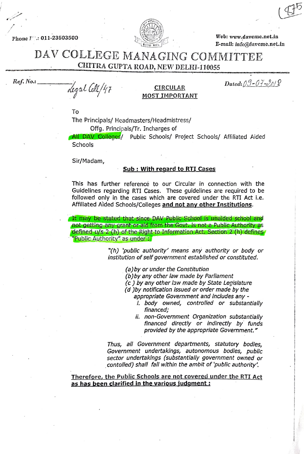Phone  $I^{\infty}$ .: 011-23503500



Web: www.davcmc.net.in E-mail: info@davemc.net.in

### DAV COLLEGE MANAGING COMMITTEE CHITRA GUPTA ROAD, NEW DELHI-110055

 $Res. No.\n   
\n decayal \n   
\n   
\n CIRCULAR  
\n MOST IMPORTANT$ 

# MOST IMPORTANI

To

The Principals/ Headmasters/Headmistress/ Offg. Principals/Tr. Incharges of

All DAV Colleges/ Public Schools/ Project Schools/ Affiliated Aided **Schools** 

Sir/Madam,

#### Sub: With regard to RTI Cases

This has further reference to our Circular in connection with the Guidelines regarding RTI Cases. These guidelines are required to be followed only in the cases which are covered under the RTI Act i.e. Affiliated Aided Schools/Colleges and not any other Institutions.

It may be stated that since DAV Public School is unaided school and not getting any grant or aid from the Govt. is not a Public Authority as defined u/s 2 (h) of the Right to Information Act. Section 2 (h) defines Public Authority" as under

> "(h) 'public authority' means any authority or body or institution of self government established or constituted.

> > (a)by or under the Constitution

(b)by any other law made by Parliament

(c) by any other law made by State Legislature

(d) by notification issued or order made by the

appropriate Government and includes any

- i. body owned, controlled or substantially financed;<br>ii. non-Government Organization substantially
- financed directly or indirectly by funds provided by the appropriate Government."

Thus, all Government departments, statutory bodies, Government undertakings, autonomous bodies, public sector undertakings (substantially government owned or contolled) shall fall within the ambit of 'public authority'.

Therefore, the Public Schools are not covered under the RTI Act as has been clarified in the various judgment: